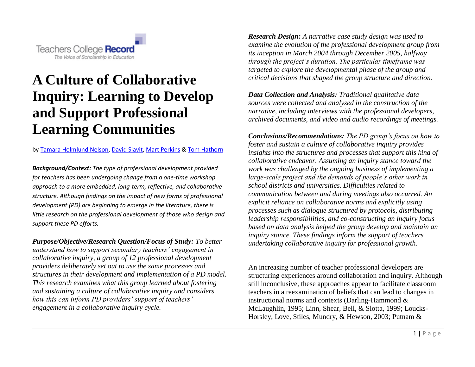

# **A Culture of Collaborative Inquiry: Learning to Develop and Support Professional Learning Communities**

by [Tamara Holmlund Nelson,](http://www.tcrecord.org/AuthorDisplay.asp?aid=20390) [David Slavit,](http://www.tcrecord.org/AuthorDisplay.asp?aid=20391) [Mart Perkins](http://www.tcrecord.org/AuthorDisplay.asp?aid=20392) & [Tom Hathorn](http://www.tcrecord.org/AuthorDisplay.asp?aid=20393)

*Background/Context: The type of professional development provided for teachers has been undergoing change from a one-time workshop approach to a more embedded, long-term, reflective, and collaborative structure. Although findings on the impact of new forms of professional development (PD) are beginning to emerge in the literature, there is little research on the professional development of those who design and support these PD efforts.* 

*Purpose/Objective/Research Question/Focus of Study: To better understand how to support secondary teachers' engagement in collaborative inquiry, a group of 12 professional development providers deliberately set out to use the same processes and structures in their development and implementation of a PD model. This research examines what this group learned about fostering and sustaining a culture of collaborative inquiry and considers how this can inform PD providers' support of teachers' engagement in a collaborative inquiry cycle.* 

*Research Design: A narrative case study design was used to examine the evolution of the professional development group from its inception in March 2004 through December 2005, halfway through the project's duration. The particular timeframe was targeted to explore the developmental phase of the group and critical decisions that shaped the group structure and direction.* 

*Data Collection and Analysis: Traditional qualitative data sources were collected and analyzed in the construction of the narrative, including interviews with the professional developers, archived documents, and video and audio recordings of meetings.* 

*Conclusions/Recommendations: The PD group's focus on how to foster and sustain a culture of collaborative inquiry provides insights into the structures and processes that support this kind of collaborative endeavor. Assuming an inquiry stance toward the work was challenged by the ongoing business of implementing a large-scale project and the demands of people's other work in school districts and universities. Difficulties related to communication between and during meetings also occurred. An explicit reliance on collaborative norms and explicitly using processes such as dialogue structured by protocols, distributing leadership responsibilities, and co-constructing an inquiry focus based on data analysis helped the group develop and maintain an inquiry stance. These findings inform the support of teachers undertaking collaborative inquiry for professional growth.* 

An increasing number of teacher professional developers are structuring experiences around collaboration and inquiry. Although still inconclusive, these approaches appear to facilitate classroom teachers in a reexamination of beliefs that can lead to changes in instructional norms and contexts (Darling-Hammond & McLaughlin, 1995; Linn, Shear, Bell, & Slotta, 1999; Loucks-Horsley, Love, Stiles, Mundry, & Hewson, 2003; Putnam &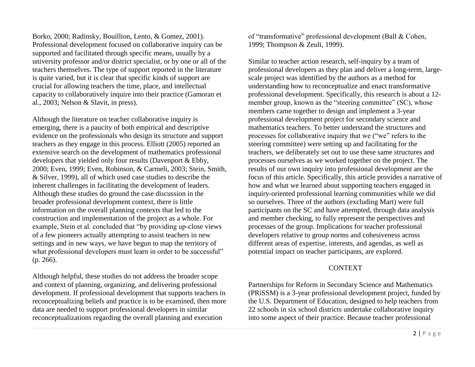Borko, 2000; Radinsky, Bouillion, Lento, & Gomez, 2001). Professional development focused on collaborative inquiry can be supported and facilitated through specific means, usually by a university professor and/or district specialist, or by one or all of the teachers themselves. The type of support reported in the literature is quite varied, but it is clear that specific kinds of support are crucial for allowing teachers the time, place, and intellectual capacity to collaboratively inquire into their practice (Gamoran et al., 2003; Nelson & Slavit, in press).

Although the literature on teacher collaborative inquiry is emerging, there is a paucity of both empirical and descriptive evidence on the professionals who design its structure and support teachers as they engage in this process. Elliott (2005) reported an extensive search on the development of mathematics professional developers that yielded only four results (Davenport & Ebby, 2000; Even, 1999; Even, Robinson, & Carmeli, 2003; Stein, Smith, & Silver, 1999), all of which used case studies to describe the inherent challenges in facilitating the development of leaders. Although these studies do ground the case discussion in the broader professional development context, there is little information on the overall planning contexts that led to the construction and implementation of the project as a whole. For example, Stein et al. concluded that "by providing up-close views" of a few pioneers actually attempting to assist teachers in new settings and in new ways, we have begun to map the territory of what professional developers must learn in order to be successful" (p. 266).

Although helpful, these studies do not address the broader scope and context of planning, organizing, and delivering professional development. If professional development that supports teachers in reconceptualizing beliefs and practice is to be examined, then more data are needed to support professional developers in similar reconceptualizations regarding the overall planning and execution

of "transformative" professional development (Ball  $& Cohen,$ 1999; Thompson & Zeuli, 1999).

Similar to teacher action research, self-inquiry by a team of professional developers as they plan and deliver a long-term, largescale project was identified by the authors as a method for understanding how to reconceptualize and enact transformative professional development. Specifically, this research is about a 12 member group, known as the "steering committee" (SC), whose members came together to design and implement a 3-year professional development project for secondary science and mathematics teachers. To better understand the structures and processes for collaborative inquiry that we ("we" refers to the steering committee) were setting up and facilitating for the teachers, we deliberately set out to use these same structures and processes ourselves as we worked together on the project. The results of our own inquiry into professional development are the focus of this article. Specifically, this article provides a narrative of how and what we learned about supporting teachers engaged in inquiry-oriented professional learning communities while we did so ourselves. Three of the authors (excluding Mart) were full participants on the SC and have attempted, through data analysis and member checking, to fully represent the perspectives and processes of the group. Implications for teacher professional developers relative to group norms and cohesiveness across different areas of expertise, interests, and agendas, as well as potential impact on teacher participants, are explored.

#### CONTEXT

Partnerships for Reform in Secondary Science and Mathematics (PRiSSM) is a 3-year professional development project, funded by the U.S. Department of Education, designed to help teachers from 22 schools in six school districts undertake collaborative inquiry into some aspect of their practice. Because teacher professional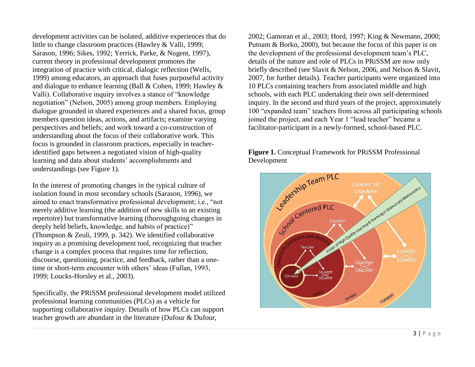development activities can be isolated, additive experiences that do little to change classroom practices (Hawley & Valli, 1999; Sarason, 1996; Sikes, 1992; Yerrick, Parke, & Nugent, 1997), current theory in professional development promotes the integration of practice with critical, dialogic reflection (Wells, 1999) among educators, an approach that fuses purposeful activity and dialogue to enhance learning (Ball & Cohen, 1999; Hawley & Valli). Collaborative inquiry involves a stance of "knowledge" negotiation" (Nelson, 2005) among group members. Employing dialogue grounded in shared experiences and a shared focus, group members question ideas, actions, and artifacts; examine varying perspectives and beliefs; and work toward a co-construction of understanding about the focus of their collaborative work. This focus is grounded in classroom practices, especially in teacheridentified gaps between a negotiated vision of high-quality learning and data about students' accomplishments and understandings (see Figure 1).

In the interest of promoting changes in the typical culture of isolation found in most secondary schools (Sarason, 1996), we aimed to enact transformative professional development; i.e., "not merely additive learning (the addition of new skills to an existing repertoire) but transformative learning (thoroughgoing changes in deeply held beliefs, knowledge, and habits of practice)" (Thompson & Zeuli, 1999, p. 342). We identified collaborative inquiry as a promising development tool, recognizing that teacher change is a complex process that requires time for reflection, discourse, questioning, practice, and feedback, rather than a onetime or short-term encounter with others' ideas (Fullan, 1993, 1999; Loucks-Horsley et al., 2003).

Specifically, the PRiSSM professional development model utilized professional learning communities (PLCs) as a vehicle for supporting collaborative inquiry. Details of how PLCs can support teacher growth are abundant in the literature (Dufour & Dufour,

2002; Gamoran et al., 2003; Hord, 1997; King & Newmann, 2000; Putnam & Borko, 2000), but because the focus of this paper is on the development of the professional development team's PLC, details of the nature and role of PLCs in PRiSSM are now only briefly described (see Slavit & Nelson, 2006, and Nelson & Slavit, 2007, for further details). Teacher participants were organized into 10 PLCs containing teachers from associated middle and high schools, with each PLC undertaking their own self-determined inquiry. In the second and third years of the project, approximately 100 "expanded team" teachers from across all participating schools joined the project, and each Year 1 "lead teacher" became a facilitator-participant in a newly-formed, school-based PLC.

**Figure 1.** Conceptual Framework for PRiSSM Professional

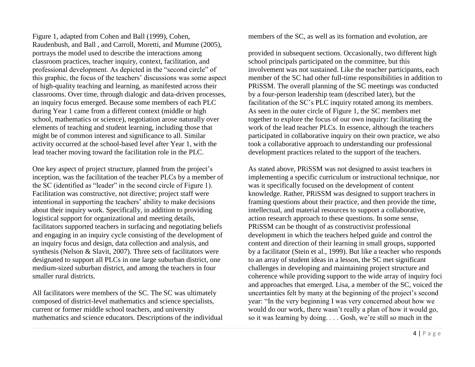Figure 1, adapted from Cohen and Ball (1999), Cohen, Raudenbush, and Ball , and Carroll, Moretti, and Mumme (2005), portrays the model used to describe the interactions among classroom practices, teacher inquiry, context, facilitation, and professional development. As depicted in the "second circle" of this graphic, the focus of the teachers' discussions was some aspect of high-quality teaching and learning, as manifested across their classrooms. Over time, through dialogic and data-driven processes, an inquiry focus emerged. Because some members of each PLC during Year 1 came from a different context (middle or high school, mathematics or science), negotiation arose naturally over elements of teaching and student learning, including those that might be of common interest and significance to all. Similar activity occurred at the school-based level after Year 1, with the lead teacher moving toward the facilitation role in the PLC.

One key aspect of project structure, planned from the project's inception, was the facilitation of the teacher PLCs by a member of the SC (identified as "leader" in the second circle of Figure 1). Facilitation was constructive, not directive; project staff were intentional in supporting the teachers' ability to make decisions about their inquiry work. Specifically, in addition to providing logistical support for organizational and meeting details, facilitators supported teachers in surfacing and negotiating beliefs and engaging in an inquiry cycle consisting of the development of an inquiry focus and design, data collection and analysis, and synthesis (Nelson & Slavit, 2007). Three sets of facilitators were designated to support all PLCs in one large suburban district, one medium-sized suburban district, and among the teachers in four smaller rural districts.

All facilitators were members of the SC. The SC was ultimately composed of district-level mathematics and science specialists, current or former middle school teachers, and university mathematics and science educators. Descriptions of the individual members of the SC, as well as its formation and evolution, are

provided in subsequent sections. Occasionally, two different high school principals participated on the committee, but this involvement was not sustained. Like the teacher participants, each member of the SC had other full-time responsibilities in addition to PRiSSM. The overall planning of the SC meetings was conducted by a four-person leadership team (described later), but the facilitation of the SC's PLC inquiry rotated among its members. As seen in the outer circle of Figure 1, the SC members met together to explore the focus of our own inquiry: facilitating the work of the lead teacher PLCs. In essence, although the teachers participated in collaborative inquiry on their own practice, we also took a collaborative approach to understanding our professional development practices related to the support of the teachers.

As stated above, PRiSSM was not designed to assist teachers in implementing a specific curriculum or instructional technique, nor was it specifically focused on the development of content knowledge. Rather, PRiSSM was designed to support teachers in framing questions about their practice, and then provide the time, intellectual, and material resources to support a collaborative, action research approach to these questions. In some sense, PRiSSM can be thought of as constructivist professional development in which the teachers helped guide and control the content and direction of their learning in small groups, supported by a facilitator (Stein et al., 1999). But like a teacher who responds to an array of student ideas in a lesson, the SC met significant challenges in developing and maintaining project structure and coherence while providing support to the wide array of inquiry foci and approaches that emerged. Lisa, a member of the SC, voiced the uncertainties felt by many at the beginning of the project's second year: "In the very beginning I was very concerned about how we would do our work, there wasn't really a plan of how it would go, so it was learning by doing. . . . Gosh, we're still so much in the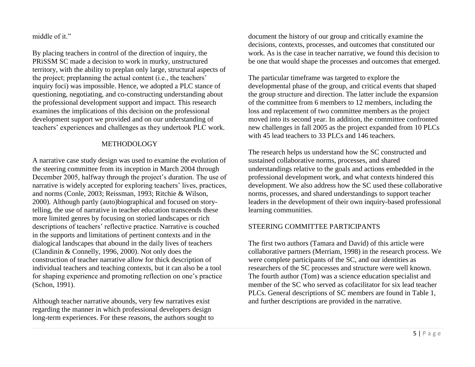middle of it."

By placing teachers in control of the direction of inquiry, the PRiSSM SC made a decision to work in murky, unstructured territory, with the ability to preplan only large, structural aspects of the project; preplanning the actual content (i.e., the teachers' inquiry foci) was impossible. Hence, we adopted a PLC stance of questioning, negotiating, and co-constructing understanding about the professional development support and impact. This research examines the implications of this decision on the professional development support we provided and on our understanding of teachers' experiences and challenges as they undertook PLC work.

# METHODOLOGY

A narrative case study design was used to examine the evolution of the steering committee from its inception in March 2004 through December 2005, halfway through the project's duration. The use of narrative is widely accepted for exploring teachers' lives, practices, and norms (Conle, 2003; Reissman, 1993; Ritchie & Wilson, 2000). Although partly (auto)biographical and focused on storytelling, the use of narrative in teacher education transcends these more limited genres by focusing on storied landscapes or rich descriptions of teachers' reflective practice. Narrative is couched in the supports and limitations of pertinent contexts and in the dialogical landscapes that abound in the daily lives of teachers (Clandinin & Connelly, 1996, 2000). Not only does the construction of teacher narrative allow for thick description of individual teachers and teaching contexts, but it can also be a tool for shaping experience and promoting reflection on one's practice (Schon, 1991).

Although teacher narrative abounds, very few narratives exist regarding the manner in which professional developers design long-term experiences. For these reasons, the authors sought to document the history of our group and critically examine the decisions, contexts, processes, and outcomes that constituted our work. As is the case in teacher narrative, we found this decision to be one that would shape the processes and outcomes that emerged.

The particular timeframe was targeted to explore the developmental phase of the group, and critical events that shaped the group structure and direction. The latter include the expansion of the committee from 6 members to 12 members, including the loss and replacement of two committee members as the project moved into its second year. In addition, the committee confronted new challenges in fall 2005 as the project expanded from 10 PLCs with 45 lead teachers to 33 PLCs and 146 teachers.

The research helps us understand how the SC constructed and sustained collaborative norms, processes, and shared understandings relative to the goals and actions embedded in the professional development work, and what contexts hindered this development. We also address how the SC used these collaborative norms, processes, and shared understandings to support teacher leaders in the development of their own inquiry-based professional learning communities.

# STEERING COMMITTEE PARTICIPANTS

The first two authors (Tamara and David) of this article were collaborative partners (Merriam, 1998) in the research process. We were complete participants of the SC, and our identities as researchers of the SC processes and structure were well known. The fourth author (Tom) was a science education specialist and member of the SC who served as cofacilitator for six lead teacher PLCs. General descriptions of SC members are found in Table 1, and further descriptions are provided in the narrative.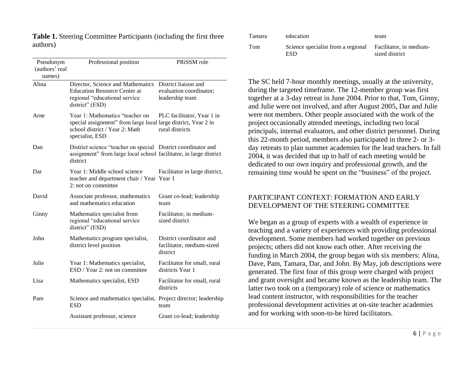| Pseudonym       | Professional position                                                                                                                                  | PRiSSM role                                                        |
|-----------------|--------------------------------------------------------------------------------------------------------------------------------------------------------|--------------------------------------------------------------------|
| (authors' real  |                                                                                                                                                        |                                                                    |
| names)<br>Alina | Director, Science and Mathematics<br><b>Education Resource Center at</b><br>regional "educational service<br>district" (ESD)                           | District liaison and<br>evaluation coordinator;<br>leadership team |
| Arne            | Year 1: Mathematics "teacher on<br>special assignment" from large local large district, Year 2 in<br>school district / Year 2: Math<br>specialist, ESD | PLC facilitator, Year 1 in<br>rural districts                      |
| Dan             | District science "teacher on special District coordinator and<br>assignment" from large local school facilitator, in large district<br>district        |                                                                    |
| Dar             | Year 1: Middle school science<br>teacher and department chair / Year Year 1<br>2: not on committee                                                     | Facilitator in large district,                                     |
| David           | Associate professor, mathematics<br>and mathematics education                                                                                          | Grant co-lead; leadership<br>team                                  |
| Ginny           | Mathematics specialist from<br>regional "educational service<br>district" (ESD)                                                                        | Facilitator, in medium-<br>sized district                          |
| John            | Mathematics program specialist,<br>district level position                                                                                             | District coordinator and<br>facilitator, medium-sized<br>district  |
| Julie           | Year 1: Mathematics specialist,<br>ESD / Year 2: not on committee                                                                                      | Facilitator for small, rural<br>districts Year 1                   |
| Lisa            | Mathematics specialist, ESD                                                                                                                            | Facilitator for small, rural<br>districts                          |
| Pam             | Science and mathematics specialist, Project director; leadership<br><b>ESD</b>                                                                         | team                                                               |
|                 | Assistant professor, science                                                                                                                           | Grant co-lead; leadership                                          |

| <b>Table 1.</b> Steering Committee Participants (including the first three |  |
|----------------------------------------------------------------------------|--|
| authors)                                                                   |  |

| Tamara | education                                                         | team           |
|--------|-------------------------------------------------------------------|----------------|
| Tom    | Science specialist from a regional Facilitator, in medium-<br>ESD | sized district |

The SC held 7-hour monthly meetings, usually at the university, during the targeted timeframe. The 12-member group was first together at a 3-day retreat in June 2004. Prior to that, Tom, Ginny, and Julie were not involved, and after August 2005, Dar and Julie were not members. Other people associated with the work of the project occasionally attended meetings, including two local principals, internal evaluators, and other district personnel. During this 22-month period, members also participated in three 2- or 3 day retreats to plan summer academies for the lead teachers. In fall 2004, it was decided that up to half of each meeting would be dedicated to our own inquiry and professional growth, and the remaining time would be spent on the "business" of the project.

# PARTICIPANT CONTEXT: FORMATION AND EARLY DEVELOPMENT OF THE STEERING COMMITTEE

We began as a group of experts with a wealth of experience in teaching and a variety of experiences with providing professional development. Some members had worked together on previous projects; others did not know each other. After receiving the funding in March 2004, the group began with six members: Alina, Dave, Pam, Tamara, Dar, and John. By May, job descriptions were generated. The first four of this group were charged with project and grant oversight and became known as the leadership team. The latter two took on a (temporary) role of science or mathematics lead content instructor, with responsibilities for the teacher professional development activities at on-site teacher academies and for working with soon-to-be hired facilitators.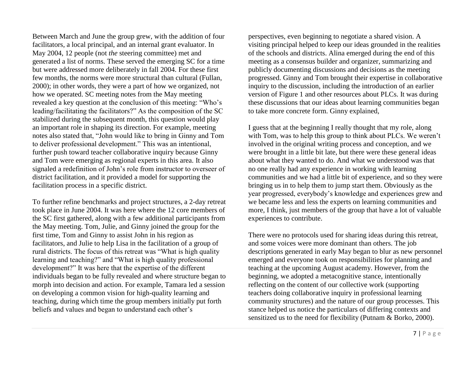Between March and June the group grew, with the addition of four facilitators, a local principal, and an internal grant evaluator. In May 2004, 12 people (not *the* steering committee) met and generated a list of norms. These served the emerging SC for a time but were addressed more deliberately in fall 2004. For these first few months, the norms were more structural than cultural (Fullan, 2000); in other words, they were a part of how we organized, not how we operated. SC meeting notes from the May meeting revealed a key question at the conclusion of this meeting: "Who's leading/facilitating the facilitators?" As the composition of the SC stabilized during the subsequent month, this question would play an important role in shaping its direction. For example, meeting notes also stated that, "John would like to bring in Ginny and Tom to deliver professional development." This was an intentional, further push toward teacher collaborative inquiry because Ginny and Tom were emerging as regional experts in this area. It also signaled a redefinition of John's role from instructor to overseer of district facilitation, and it provided a model for supporting the facilitation process in a specific district.

To further refine benchmarks and project structures, a 2-day retreat took place in June 2004. It was here where the 12 core members of the SC first gathered, along with a few additional participants from the May meeting. Tom, Julie, and Ginny joined the group for the first time, Tom and Ginny to assist John in his region as facilitators, and Julie to help Lisa in the facilitation of a group of rural districts. The focus of this retreat was "What is high quality" learning and teaching?" and "What is high quality professional development?" It was here that the expertise of the different individuals began to be fully revealed and where structure began to morph into decision and action. For example, Tamara led a session on developing a common vision for high-quality learning and teaching, during which time the group members initially put forth beliefs and values and began to understand each other's

perspectives, even beginning to negotiate a shared vision. A visiting principal helped to keep our ideas grounded in the realities of the schools and districts. Alina emerged during the end of this meeting as a consensus builder and organizer, summarizing and publicly documenting discussions and decisions as the meeting progressed. Ginny and Tom brought their expertise in collaborative inquiry to the discussion, including the introduction of an earlier version of Figure 1 and other resources about PLCs. It was during these discussions that our ideas about learning communities began to take more concrete form. Ginny explained,

I guess that at the beginning I really thought that my role, along with Tom, was to help this group to think about PLCs. We weren't involved in the original writing process and conception, and we were brought in a little bit late, but there were these general ideas about what they wanted to do. And what we understood was that no one really had any experience in working with learning communities and we had a little bit of experience, and so they were bringing us in to help them to jump start them. Obviously as the year progressed, everybody's knowledge and experiences grew and we became less and less the experts on learning communities and more, I think, just members of the group that have a lot of valuable experiences to contribute.

There were no protocols used for sharing ideas during this retreat, and some voices were more dominant than others. The job descriptions generated in early May began to blur as new personnel emerged and everyone took on responsibilities for planning and teaching at the upcoming August academy. However, from the beginning, we adopted a metacognitive stance, intentionally reflecting on the content of our collective work (supporting teachers doing collaborative inquiry in professional learning community structures) and the nature of our group processes. This stance helped us notice the particulars of differing contexts and sensitized us to the need for flexibility (Putnam & Borko, 2000).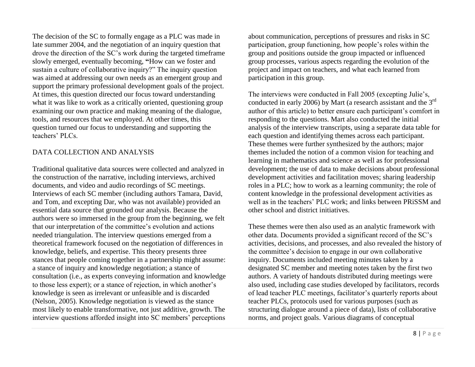The decision of the SC to formally engage as a PLC was made in late summer 2004, and the negotiation of an inquiry question that drove the direction of the SC's work during the targeted timeframe slowly emerged, eventually becoming, **"**How can we foster and sustain a culture of collaborative inquiry?" The inquiry question was aimed at addressing our own needs as an emergent group and support the primary professional development goals of the project. At times, this question directed our focus toward understanding what it was like to work as a critically oriented, questioning group examining our own practice and making meaning of the dialogue, tools, and resources that we employed. At other times, this question turned our focus to understanding and supporting the teachers' PLCs.

# DATA COLLECTION AND ANALYSIS

Traditional qualitative data sources were collected and analyzed in the construction of the narrative, including interviews, archived documents, and video and audio recordings of SC meetings. Interviews of each SC member (including authors Tamara, David, and Tom, and excepting Dar, who was not available) provided an essential data source that grounded our analysis. Because the authors were so immersed in the group from the beginning, we felt that our interpretation of the committee's evolution and actions needed triangulation. The interview questions emerged from a theoretical framework focused on the negotiation of differences in knowledge, beliefs, and expertise. This theory presents three stances that people coming together in a partnership might assume: a stance of inquiry and knowledge negotiation; a stance of consultation (i.e., as experts conveying information and knowledge to those less expert); or a stance of rejection, in which another's knowledge is seen as irrelevant or unfeasible and is discarded (Nelson, 2005). Knowledge negotiation is viewed as the stance most likely to enable transformative, not just additive, growth. The interview questions afforded insight into SC members' perceptions

about communication, perceptions of pressures and risks in SC participation, group functioning, how people's roles within the group and positions outside the group impacted or influenced group processes, various aspects regarding the evolution of the project and impact on teachers, and what each learned from participation in this group.

The interviews were conducted in Fall 2005 (excepting Julie's, conducted in early 2006) by Mart (a research assistant and the 3rd author of this article) to better ensure each participant's comfort in responding to the questions. Mart also conducted the initial analysis of the interview transcripts, using a separate data table for each question and identifying themes across each participant. These themes were further synthesized by the authors; major themes included the notion of a common vision for teaching and learning in mathematics and science as well as for professional development; the use of data to make decisions about professional development activities and facilitation moves; sharing leadership roles in a PLC; how to work as a learning community; the role of content knowledge in the professional development activities as well as in the teachers' PLC work; and links between PRiSSM and other school and district initiatives.

These themes were then also used as an analytic framework with other data. Documents provided a significant record of the SC's activities, decisions, and processes, and also revealed the history of the committee's decision to engage in our own collaborative inquiry. Documents included meeting minutes taken by a designated SC member and meeting notes taken by the first two authors. A variety of handouts distributed during meetings were also used, including case studies developed by facilitators, records of lead teacher PLC meetings, facilitator's quarterly reports about teacher PLCs, protocols used for various purposes (such as structuring dialogue around a piece of data), lists of collaborative norms, and project goals. Various diagrams of conceptual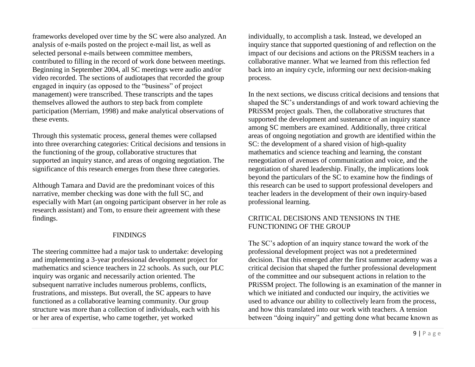frameworks developed over time by the SC were also analyzed. An analysis of e-mails posted on the project e-mail list, as well as selected personal e-mails between committee members, contributed to filling in the record of work done between meetings. Beginning in September 2004, all SC meetings were audio and/or video recorded. The sections of audiotapes that recorded the group engaged in inquiry (as opposed to the "business" of project management) were transcribed. These transcripts and the tapes themselves allowed the authors to step back from complete participation (Merriam, 1998) and make analytical observations of these events.

Through this systematic process, general themes were collapsed into three overarching categories: Critical decisions and tensions in the functioning of the group, collaborative structures that supported an inquiry stance, and areas of ongoing negotiation. The significance of this research emerges from these three categories.

Although Tamara and David are the predominant voices of this narrative, member checking was done with the full SC, and especially with Mart (an ongoing participant observer in her role as research assistant) and Tom, to ensure their agreement with these findings.

# FINDINGS

The steering committee had a major task to undertake: developing and implementing a 3-year professional development project for mathematics and science teachers in 22 schools. As such, our PLC inquiry was organic and necessarily action oriented. The subsequent narrative includes numerous problems, conflicts, frustrations, and missteps. But overall, the SC appears to have functioned as a collaborative learning community. Our group structure was more than a collection of individuals, each with his or her area of expertise, who came together, yet worked

individually, to accomplish a task. Instead, we developed an inquiry stance that supported questioning of and reflection on the impact of our decisions and actions on the PRiSSM teachers in a collaborative manner. What we learned from this reflection fed back into an inquiry cycle, informing our next decision-making process.

In the next sections, we discuss critical decisions and tensions that shaped the SC's understandings of and work toward achieving the PRiSSM project goals. Then, the collaborative structures that supported the development and sustenance of an inquiry stance among SC members are examined. Additionally, three critical areas of ongoing negotiation and growth are identified within the SC: the development of a shared vision of high-quality mathematics and science teaching and learning, the constant renegotiation of avenues of communication and voice, and the negotiation of shared leadership. Finally, the implications look beyond the particulars of the SC to examine how the findings of this research can be used to support professional developers and teacher leaders in the development of their own inquiry-based professional learning.

# CRITICAL DECISIONS AND TENSIONS IN THE FUNCTIONING OF THE GROUP

The SC's adoption of an inquiry stance toward the work of the professional development project was not a predetermined decision. That this emerged after the first summer academy was a critical decision that shaped the further professional development of the committee and our subsequent actions in relation to the PRiSSM project. The following is an examination of the manner in which we initiated and conducted our inquiry, the activities we used to advance our ability to collectively learn from the process, and how this translated into our work with teachers. A tension between "doing inquiry" and getting done what became known as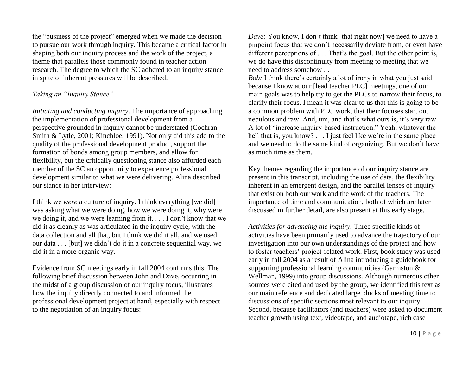the "business of the project" emerged when we made the decision to pursue our work through inquiry. This became a critical factor in shaping both our inquiry process and the work of the project, a theme that parallels those commonly found in teacher action research. The degree to which the SC adhered to an inquiry stance in spite of inherent pressures will be described.

# *Taking an "Inquiry Stance"*

*Initiating and conducting inquiry*. The importance of approaching the implementation of professional development from a perspective grounded in inquiry cannot be understated (Cochran-Smith & Lytle, 2001; Kinchloe, 1991). Not only did this add to the quality of the professional development product, support the formation of bonds among group members, and allow for flexibility, but the critically questioning stance also afforded each member of the SC an opportunity to experience professional development similar to what we were delivering. Alina described our stance in her interview:

I think we *were* a culture of inquiry. I think everything [we did] was asking what we were doing, how we were doing it, why were we doing it, and we were learning from it. . . . I don't know that we did it as cleanly as was articulated in the inquiry cycle, with the data collection and all that, but I think we did it all, and we used our data . . . [but] we didn't do it in a concrete sequential way, we did it in a more organic way.

Evidence from SC meetings early in fall 2004 confirms this. The following brief discussion between John and Dave, occurring in the midst of a group discussion of our inquiry focus, illustrates how the inquiry directly connected to and informed the professional development project at hand, especially with respect to the negotiation of an inquiry focus:

*Dave:* You know, I don't think [that right now] we need to have a pinpoint focus that we don't necessarily deviate from, or even have different perceptions of . . . That's the goal. But the other point is, we do have this discontinuity from meeting to meeting that we need to address somehow . . .

*Bob:* I think there's certainly a lot of irony in what you just said because I know at our [lead teacher PLC] meetings, one of our main goals was to help try to get the PLCs to narrow their focus, to clarify their focus. I mean it was clear to us that this is going to be a common problem with PLC work, that their focuses start out nebulous and raw. And, um, and that's what ours is, it's very raw. A lot of "increase inquiry-based instruction." Yeah, whatever the hell that is, you know? . . . I just feel like we're in the same place and we need to do the same kind of organizing. But we don't have as much time as them.

Key themes regarding the importance of our inquiry stance are present in this transcript, including the use of data, the flexibility inherent in an emergent design, and the parallel lenses of inquiry that exist on both our work and the work of the teachers. The importance of time and communication, both of which are later discussed in further detail, are also present at this early stage.

*Activities for advancing the inquiry.* Three specific kinds of activities have been primarily used to advance the trajectory of our investigation into our own understandings of the project and how to foster teachers' project-related work. First, book study was used early in fall 2004 as a result of Alina introducing a guidebook for supporting professional learning communities (Garmston & Wellman, 1999) into group discussions. Although numerous other sources were cited and used by the group, we identified this text as our main reference and dedicated large blocks of meeting time to discussions of specific sections most relevant to our inquiry. Second, because facilitators (and teachers) were asked to document teacher growth using text, videotape, and audiotape, rich case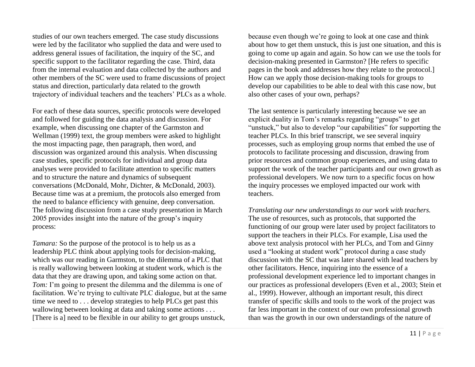studies of our own teachers emerged. The case study discussions were led by the facilitator who supplied the data and were used to address general issues of facilitation, the inquiry of the SC, and specific support to the facilitator regarding the case. Third, data from the internal evaluation and data collected by the authors and other members of the SC were used to frame discussions of project status and direction, particularly data related to the growth trajectory of individual teachers and the teachers' PLCs as a whole.

For each of these data sources, specific protocols were developed and followed for guiding the data analysis and discussion. For example, when discussing one chapter of the Garmston and Wellman (1999) text, the group members were asked to highlight the most impacting page, then paragraph, then word, and discussion was organized around this analysis. When discussing case studies, specific protocols for individual and group data analyses were provided to facilitate attention to specific matters and to structure the nature and dynamics of subsequent conversations (McDonald, Mohr, Dichter, & McDonald, 2003). Because time was at a premium, the protocols also emerged from the need to balance efficiency with genuine, deep conversation. The following discussion from a case study presentation in March 2005 provides insight into the nature of the group's inquiry process:

*Tamara:* So the purpose of the protocol is to help us as a leadership PLC think about applying tools for decision-making, which was our reading in Garmston, to the dilemma of a PLC that is really wallowing between looking at student work, which is the data that they are drawing upon, and taking some action on that. *Tom:* I'm going to present the dilemma and the dilemma is one of facilitation. We're trying to cultivate PLC dialogue, but at the same time we need to . . . develop strategies to help PLCs get past this wallowing between looking at data and taking some actions . . . [There is a] need to be flexible in our ability to get groups unstuck,

because even though we're going to look at one case and think about how to get them unstuck, this is just one situation, and this is going to come up again and again. So how can we use the tools for decision-making presented in Garmston? [He refers to specific pages in the book and addresses how they relate to the protocol.] How can we apply those decision-making tools for groups to develop our capabilities to be able to deal with this case now, but also other cases of your own, perhaps?

The last sentence is particularly interesting because we see an explicit duality in Tom's remarks regarding "groups" to get "unstuck," but also to develop "our capabilities" for supporting the teacher PLCs. In this brief transcript, we see several inquiry processes, such as employing group norms that embed the use of protocols to facilitate processing and discussion, drawing from prior resources and common group experiences, and using data to support the work of the teacher participants and our own growth as professional developers. We now turn to a specific focus on how the inquiry processes we employed impacted our work with teachers.

*Translating our new understandings to our work with teachers.* The use of resources, such as protocols, that supported the functioning of our group were later used by project facilitators to support the teachers in their PLCs. For example, Lisa used the above text analysis protocol with her PLCs, and Tom and Ginny used a "looking at student work" protocol during a case study discussion with the SC that was later shared with lead teachers by other facilitators. Hence, inquiring into the essence of a professional development experience led to important changes in our practices as professional developers (Even et al., 2003; Stein et al., 1999). However, although an important result, this direct transfer of specific skills and tools to the work of the project was far less important in the context of our own professional growth than was the growth in our own understandings of the nature of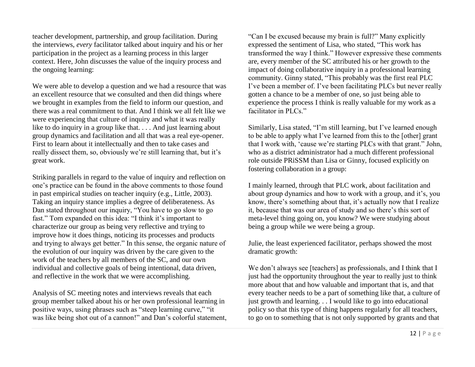teacher development, partnership, and group facilitation. During the interviews, *every* facilitator talked about inquiry and his or her participation in the project as a learning process in this larger context. Here, John discusses the value of the inquiry process and the ongoing learning:

We were able to develop a question and we had a resource that was an excellent resource that we consulted and then did things where we brought in examples from the field to inform our question, and there was a real commitment to that. And I think we all felt like we were experiencing that culture of inquiry and what it was really like to do inquiry in a group like that. . . . And just learning about group dynamics and facilitation and all that was a real eye-opener. First to learn about it intellectually and then to take cases and really dissect them, so, obviously we're still learning that, but it's great work.

Striking parallels in regard to the value of inquiry and reflection on one's practice can be found in the above comments to those found in past empirical studies on teacher inquiry (e.g., Little, 2003). Taking an inquiry stance implies a degree of deliberateness. As Dan stated throughout our inquiry, "You have to go slow to go fast." Tom expanded on this idea: "I think it's important to characterize our group as being very reflective and trying to improve how it does things, noticing its processes and products and trying to always get better." In this sense, the organic nature of the evolution of our inquiry was driven by the care given to the work of the teachers by all members of the SC, and our own individual and collective goals of being intentional, data driven, and reflective in the work that we were accomplishing.

Analysis of SC meeting notes and interviews reveals that each group member talked about his or her own professional learning in positive ways, using phrases such as "steep learning curve," "it was like being shot out of a cannon!" and Dan's colorful statement,

"Can I be excused because my brain is full?" Many explicitly expressed the sentiment of Lisa, who stated, "This work has transformed the way I think." However expressive these comments are, every member of the SC attributed his or her growth to the impact of doing collaborative inquiry in a professional learning community. Ginny stated, "This probably was the first real PLC I've been a member of. I've been facilitating PLCs but never really gotten a chance to be a member of one, so just being able to experience the process I think is really valuable for my work as a facilitator in  $PLCs$ .

Similarly, Lisa stated, "I'm still learning, but I've learned enough to be able to apply what I've learned from this to the [other] grant that I work with, 'cause we're starting PLCs with that grant." John, who as a district administrator had a much different professional role outside PRiSSM than Lisa or Ginny, focused explicitly on fostering collaboration in a group:

I mainly learned, through that PLC work, about facilitation and about group dynamics and how to work with a group, and it's, you know, there's something about that, it's actually now that I realize it, because that was our area of study and so there's this sort of meta-level thing going on, you know? We were studying about being a group while we were being a group.

Julie, the least experienced facilitator, perhaps showed the most dramatic growth:

We don't always see [teachers] as professionals, and I think that I just had the opportunity throughout the year to really just to think more about that and how valuable and important that is, and that every teacher needs to be a part of something like that, a culture of just growth and learning. . . I would like to go into educational policy so that this type of thing happens regularly for all teachers, to go on to something that is not only supported by grants and that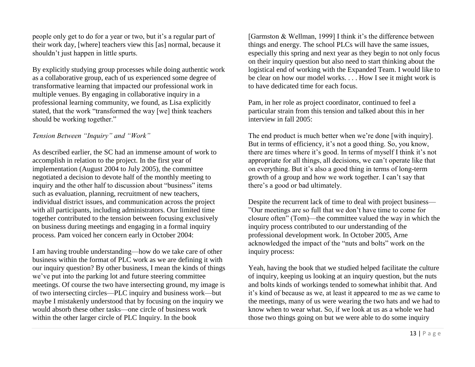people only get to do for a year or two, but it's a regular part of their work day, [where] teachers view this [as] normal, because it shouldn't just happen in little spurts.

By explicitly studying group processes while doing authentic work as a collaborative group, each of us experienced some degree of transformative learning that impacted our professional work in multiple venues. By engaging in collaborative inquiry in a professional learning community, we found, as Lisa explicitly stated, that the work "transformed the way [we] think teachers should be working together."

# *Tension Between "Inquiry" and "Work"*

As described earlier, the SC had an immense amount of work to accomplish in relation to the project. In the first year of implementation (August 2004 to July 2005), the committee negotiated a decision to devote half of the monthly meeting to inquiry and the other half to discussion about "business" items such as evaluation, planning, recruitment of new teachers, individual district issues, and communication across the project with all participants, including administrators. Our limited time together contributed to the tension between focusing exclusively on business during meetings and engaging in a formal inquiry process. Pam voiced her concern early in October 2004:

I am having trouble understanding—how do we take care of other business within the format of PLC work as we are defining it with our inquiry question? By other business, I mean the kinds of things we've put into the parking lot and future steering committee meetings. Of course the two have intersecting ground, my image is of two intersecting circles—PLC inquiry and business work—but maybe I mistakenly understood that by focusing on the inquiry we would absorb these other tasks—one circle of business work within the other larger circle of PLC Inquiry. In the book

[Garmston & Wellman, 1999] I think it's the difference between things and energy. The school PLCs will have the same issues, especially this spring and next year as they begin to not only focus on their inquiry question but also need to start thinking about the logistical end of working with the Expanded Team. I would like to be clear on how our model works. . . . How I see it might work is to have dedicated time for each focus.

Pam, in her role as project coordinator, continued to feel a particular strain from this tension and talked about this in her interview in fall 2005:

The end product is much better when we're done [with inquiry]. But in terms of efficiency, it's not a good thing. So, you know, there are times where it's good. In terms of myself I think it's not appropriate for all things, all decisions, we can't operate like that on everything. But it's also a good thing in terms of long-term growth of a group and how we work together. I can't say that there's a good or bad ultimately.

Despite the recurrent lack of time to deal with project business— ‖Our meetings are so full that we don't have time to come for closure often" (Tom)—the committee valued the way in which the inquiry process contributed to our understanding of the professional development work. In October 2005, Arne acknowledged the impact of the "nuts and bolts" work on the inquiry process:

Yeah, having the book that we studied helped facilitate the culture of inquiry, keeping us looking at an inquiry question, but the nuts and bolts kinds of workings tended to somewhat inhibit that. And it's kind of because as we, at least it appeared to me as we came to the meetings, many of us were wearing the two hats and we had to know when to wear what. So, if we look at us as a whole we had those two things going on but we were able to do some inquiry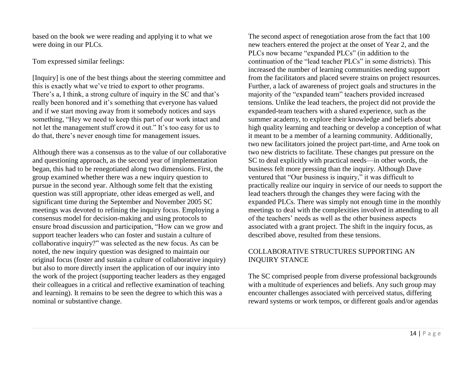based on the book we were reading and applying it to what we were doing in our PLCs.

#### Tom expressed similar feelings:

[Inquiry] is one of the best things about the steering committee and this is exactly what we've tried to export to other programs. There's a, I think, a strong culture of inquiry in the SC and that's really been honored and it's something that everyone has valued and if we start moving away from it somebody notices and says something, "Hey we need to keep this part of our work intact and not let the management stuff crowd it out." It's too easy for us to do that, there's never enough time for management issues.

Although there was a consensus as to the value of our collaborative and questioning approach, as the second year of implementation began, this had to be renegotiated along two dimensions. First, the group examined whether there was a new inquiry question to pursue in the second year. Although some felt that the existing question was still appropriate, other ideas emerged as well, and significant time during the September and November 2005 SC meetings was devoted to refining the inquiry focus. Employing a consensus model for decision-making and using protocols to ensure broad discussion and participation, "How can we grow and support teacher leaders who can foster and sustain a culture of collaborative inquiry?" was selected as the new focus. As can be noted, the new inquiry question was designed to maintain our original focus (foster and sustain a culture of collaborative inquiry) but also to more directly insert the application of our inquiry into the work of the project (supporting teacher leaders as they engaged their colleagues in a critical and reflective examination of teaching and learning). It remains to be seen the degree to which this was a nominal or substantive change.

The second aspect of renegotiation arose from the fact that 100 new teachers entered the project at the onset of Year 2, and the PLCs now became "expanded PLCs" (in addition to the continuation of the "lead teacher PLCs" in some districts). This increased the number of learning communities needing support from the facilitators and placed severe strains on project resources. Further, a lack of awareness of project goals and structures in the majority of the "expanded team" teachers provided increased tensions. Unlike the lead teachers, the project did not provide the expanded-team teachers with a shared experience, such as the summer academy, to explore their knowledge and beliefs about high quality learning and teaching or develop a conception of what it meant to be a member of a learning community. Additionally, two new facilitators joined the project part-time, and Arne took on two new districts to facilitate. These changes put pressure on the SC to deal explicitly with practical needs—in other words, the business felt more pressing than the inquiry. Although Dave ventured that "Our business is inquiry," it was difficult to practically realize our inquiry in service of our needs to support the lead teachers through the changes they were facing with the expanded PLCs. There was simply not enough time in the monthly meetings to deal with the complexities involved in attending to all of the teachers' needs as well as the other business aspects associated with a grant project. The shift in the inquiry focus, as described above, resulted from these tensions.

# COLLABORATIVE STRUCTURES SUPPORTING AN INQUIRY STANCE

The SC comprised people from diverse professional backgrounds with a multitude of experiences and beliefs. Any such group may encounter challenges associated with perceived status, differing reward systems or work tempos, or different goals and/or agendas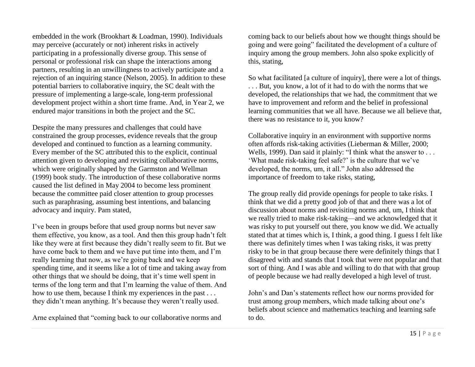embedded in the work (Brookhart & Loadman, 1990). Individuals may perceive (accurately or not) inherent risks in actively participating in a professionally diverse group. This sense of personal or professional risk can shape the interactions among partners, resulting in an unwillingness to actively participate and a rejection of an inquiring stance (Nelson, 2005). In addition to these potential barriers to collaborative inquiry, the SC dealt with the pressure of implementing a large-scale, long-term professional development project within a short time frame. And, in Year 2, we endured major transitions in both the project and the SC.

Despite the many pressures and challenges that could have constrained the group processes, evidence reveals that the group developed and continued to function as a learning community. Every member of the SC attributed this to the explicit, continual attention given to developing and revisiting collaborative norms, which were originally shaped by the Garmston and Wellman (1999) book study. The introduction of these collaborative norms caused the list defined in May 2004 to become less prominent because the committee paid closer attention to group processes such as paraphrasing, assuming best intentions, and balancing advocacy and inquiry. Pam stated,

I've been in groups before that used group norms but never saw them effective, you know, as a tool. And then this group hadn't felt like they were at first because they didn't really seem to fit. But we have come back to them and we have put time into them, and I'm really learning that now, as we're going back and we keep spending time, and it seems like a lot of time and taking away from other things that we should be doing, that it's time well spent in terms of the long term and that I'm learning the value of them. And how to use them, because I think my experiences in the past . . . they didn't mean anything. It's because they weren't really used.

Arne explained that "coming back to our collaborative norms and

coming back to our beliefs about how we thought things should be going and were going" facilitated the development of a culture of inquiry among the group members. John also spoke explicitly of this, stating,

So what facilitated [a culture of inquiry], there were a lot of things. . . . But, you know, a lot of it had to do with the norms that we developed, the relationships that we had, the commitment that we have to improvement and reform and the belief in professional learning communities that we all have. Because we all believe that, there was no resistance to it, you know?

Collaborative inquiry in an environment with supportive norms often affords risk-taking activities (Lieberman & Miller, 2000; Wells, 1999). Dan said it plainly: "I think what the answer to  $\ldots$ ‗What made risk-taking feel safe?' is the culture that we've developed, the norms, um, it all." John also addressed the importance of freedom to take risks, stating,

The group really did provide openings for people to take risks. I think that we did a pretty good job of that and there was a lot of discussion about norms and revisiting norms and, um, I think that we really tried to make risk-taking—and we acknowledged that it was risky to put yourself out there, you know we did. We actually stated that at times which is, I think, a good thing. I guess I felt like there was definitely times when I was taking risks, it was pretty risky to be in that group because there were definitely things that I disagreed with and stands that I took that were not popular and that sort of thing. And I was able and willing to do that with that group of people because we had really developed a high level of trust.

John's and Dan's statements reflect how our norms provided for trust among group members, which made talking about one's beliefs about science and mathematics teaching and learning safe to do.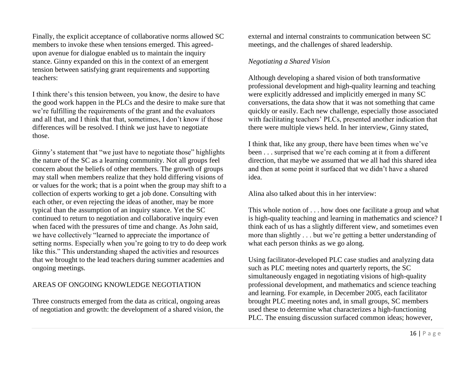Finally, the explicit acceptance of collaborative norms allowed SC members to invoke these when tensions emerged. This agreedupon avenue for dialogue enabled us to maintain the inquiry stance. Ginny expanded on this in the context of an emergent tension between satisfying grant requirements and supporting teachers:

I think there's this tension between, you know, the desire to have the good work happen in the PLCs and the desire to make sure that we're fulfilling the requirements of the grant and the evaluators and all that, and I think that that, sometimes, I don't know if those differences will be resolved. I think we just have to negotiate those.

Ginny's statement that "we just have to negotiate those" highlights the nature of the SC as a learning community. Not all groups feel concern about the beliefs of other members. The growth of groups may stall when members realize that they hold differing visions of or values for the work; that is a point when the group may shift to a collection of experts working to get a job done. Consulting with each other, or even rejecting the ideas of another, may be more typical than the assumption of an inquiry stance. Yet the SC continued to return to negotiation and collaborative inquiry even when faced with the pressures of time and change. As John said, we have collectively "learned to appreciate the importance of setting norms. Especially when you're going to try to do deep work like this." This understanding shaped the activities and resources that we brought to the lead teachers during summer academies and ongoing meetings.

# AREAS OF ONGOING KNOWLEDGE NEGOTIATION

Three constructs emerged from the data as critical, ongoing areas of negotiation and growth: the development of a shared vision, the external and internal constraints to communication between SC meetings, and the challenges of shared leadership.

# *Negotiating a Shared Vision*

Although developing a shared vision of both transformative professional development and high-quality learning and teaching were explicitly addressed and implicitly emerged in many SC conversations, the data show that it was not something that came quickly or easily. Each new challenge, especially those associated with facilitating teachers' PLCs, presented another indication that there were multiple views held. In her interview, Ginny stated,

I think that, like any group, there have been times when we've been . . . surprised that we're each coming at it from a different direction, that maybe we assumed that we all had this shared idea and then at some point it surfaced that we didn't have a shared idea.

Alina also talked about this in her interview:

This whole notion of . . . how does one facilitate a group and what is high-quality teaching and learning in mathematics and science? I think each of us has a slightly different view, and sometimes even more than slightly . . . but we're getting a better understanding of what each person thinks as we go along.

Using facilitator-developed PLC case studies and analyzing data such as PLC meeting notes and quarterly reports, the SC simultaneously engaged in negotiating visions of high-quality professional development, and mathematics and science teaching and learning. For example, in December 2005, each facilitator brought PLC meeting notes and, in small groups, SC members used these to determine what characterizes a high-functioning PLC. The ensuing discussion surfaced common ideas; however,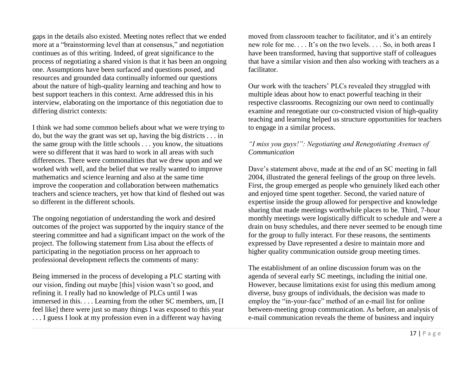gaps in the details also existed. Meeting notes reflect that we ended more at a "brainstorming level than at consensus," and negotiation continues as of this writing. Indeed, of great significance to the process of negotiating a shared vision is that it has been an ongoing one. Assumptions have been surfaced and questions posed, and resources and grounded data continually informed our questions about the nature of high-quality learning and teaching and how to best support teachers in this context. Arne addressed this in his interview, elaborating on the importance of this negotiation due to differing district contexts:

I think we had some common beliefs about what we were trying to do, but the way the grant was set up, having the big districts . . . in the same group with the little schools . . . you know, the situations were so different that it was hard to work in all areas with such differences. There were commonalities that we drew upon and we worked with well, and the belief that we really wanted to improve mathematics and science learning and also at the same time improve the cooperation and collaboration between mathematics teachers and science teachers, yet how that kind of fleshed out was so different in the different schools.

The ongoing negotiation of understanding the work and desired outcomes of the project was supported by the inquiry stance of the steering committee and had a significant impact on the work of the project. The following statement from Lisa about the effects of participating in the negotiation process on her approach to professional development reflects the comments of many:

Being immersed in the process of developing a PLC starting with our vision, finding out maybe [this] vision wasn't so good, and refining it. I really had no knowledge of PLCs until I was immersed in this. . . . Learning from the other SC members, um, [I feel like] there were just so many things I was exposed to this year . . . I guess I look at my profession even in a different way having

moved from classroom teacher to facilitator, and it's an entirely new role for me. . . . It's on the two levels. . . . So, in both areas I have been transformed, having that supportive staff of colleagues that have a similar vision and then also working with teachers as a facilitator.

Our work with the teachers' PLCs revealed they struggled with multiple ideas about how to enact powerful teaching in their respective classrooms. Recognizing our own need to continually examine and renegotiate our co-constructed vision of high-quality teaching and learning helped us structure opportunities for teachers to engage in a similar process.

# *"I miss you guys!": Negotiating and Renegotiating Avenues of Communication*

Dave's statement above, made at the end of an SC meeting in fall 2004, illustrated the general feelings of the group on three levels. First, the group emerged as people who genuinely liked each other and enjoyed time spent together. Second, the varied nature of expertise inside the group allowed for perspective and knowledge sharing that made meetings worthwhile places to be. Third, 7-hour monthly meetings were logistically difficult to schedule and were a drain on busy schedules, and there never seemed to be enough time for the group to fully interact. For these reasons, the sentiments expressed by Dave represented a desire to maintain more and higher quality communication outside group meeting times.

The establishment of an online discussion forum was on the agenda of several early SC meetings, including the initial one. However, because limitations exist for using this medium among diverse, busy groups of individuals, the decision was made to employ the "in-your-face" method of an e-mail list for online between-meeting group communication. As before, an analysis of e-mail communication reveals the theme of business and inquiry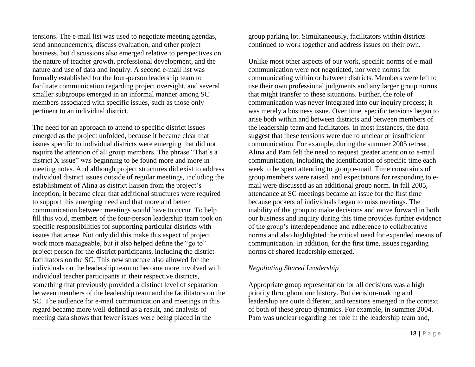tensions. The e-mail list was used to negotiate meeting agendas, send announcements, discuss evaluation, and other project business, but discussions also emerged relative to perspectives on the nature of teacher growth, professional development, and the nature and use of data and inquiry. A second e-mail list was formally established for the four-person leadership team to facilitate communication regarding project oversight, and several smaller subgroups emerged in an informal manner among SC members associated with specific issues, such as those only pertinent to an individual district.

The need for an approach to attend to specific district issues emerged as the project unfolded, because it became clear that issues specific to individual districts were emerging that did not require the attention of all group members. The phrase "That's a district  $X$  issue" was beginning to be found more and more in meeting notes. And although project structures did exist to address individual district issues outside of regular meetings, including the establishment of Alina as district liaison from the project's inception, it became clear that additional structures were required to support this emerging need and that more and better communication between meetings would have to occur. To help fill this void, members of the four-person leadership team took on specific responsibilities for supporting particular districts with issues that arose. Not only did this make this aspect of project work more manageable, but it also helped define the "go to" project person for the district participants, including the district facilitators on the SC. This new structure also allowed for the individuals on the leadership team to become more involved with individual teacher participants in their respective districts, something that previously provided a distinct level of separation between members of the leadership team and the facilitators on the SC. The audience for e-mail communication and meetings in this regard became more well-defined as a result, and analysis of meeting data shows that fewer issues were being placed in the

group parking lot. Simultaneously, facilitators within districts continued to work together and address issues on their own.

Unlike most other aspects of our work, specific norms of e-mail communication were not negotiated, nor were norms for communicating within or between districts. Members were left to use their own professional judgments and any larger group norms that might transfer to these situations. Further, the role of communication was never integrated into our inquiry process; it was merely a business issue. Over time, specific tensions began to arise both within and between districts and between members of the leadership team and facilitators. In most instances, the data suggest that these tensions were due to unclear or insufficient communication. For example, during the summer 2005 retreat, Alina and Pam felt the need to request greater attention to e-mail communication, including the identification of specific time each week to be spent attending to group e-mail. Time constraints of group members were raised, and expectations for responding to email were discussed as an additional group norm. In fall 2005, attendance at SC meetings became an issue for the first time because pockets of individuals began to miss meetings. The inability of the group to make decisions and move forward in both our business and inquiry during this time provides further evidence of the group's interdependence and adherence to collaborative norms and also highlighted the critical need for expanded means of communication. In addition, for the first time, issues regarding norms of shared leadership emerged.

# *Negotiating Shared Leadership*

Appropriate group representation for all decisions was a high priority throughout our history. But decision-making and leadership are quite different, and tensions emerged in the context of both of these group dynamics. For example, in summer 2004, Pam was unclear regarding her role in the leadership team and,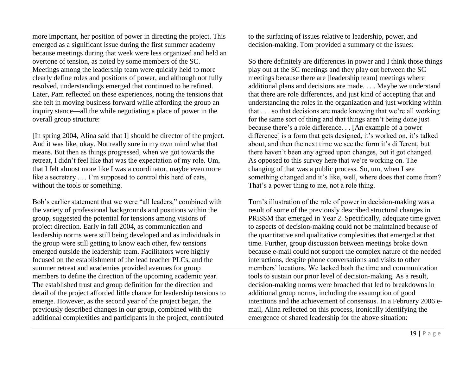more important, her position of power in directing the project. This emerged as a significant issue during the first summer academy because meetings during that week were less organized and held an overtone of tension, as noted by some members of the SC. Meetings among the leadership team were quickly held to more clearly define roles and positions of power, and although not fully resolved, understandings emerged that continued to be refined. Later, Pam reflected on these experiences, noting the tensions that she felt in moving business forward while affording the group an inquiry stance—all the while negotiating a place of power in the overall group structure:

[In spring 2004, Alina said that I] should be director of the project. And it was like, okay. Not really sure in my own mind what that means. But then as things progressed, when we got towards the retreat, I didn't feel like that was the expectation of my role. Um, that I felt almost more like I was a coordinator, maybe even more like a secretary . . . I'm supposed to control this herd of cats, without the tools or something.

Bob's earlier statement that we were "all leaders," combined with the variety of professional backgrounds and positions within the group, suggested the potential for tensions among visions of project direction. Early in fall 2004, as communication and leadership norms were still being developed and as individuals in the group were still getting to know each other, few tensions emerged outside the leadership team. Facilitators were highly focused on the establishment of the lead teacher PLCs, and the summer retreat and academies provided avenues for group members to define the direction of the upcoming academic year. The established trust and group definition for the direction and detail of the project afforded little chance for leadership tensions to emerge. However, as the second year of the project began, the previously described changes in our group, combined with the additional complexities and participants in the project, contributed

to the surfacing of issues relative to leadership, power, and decision-making. Tom provided a summary of the issues:

So there definitely are differences in power and I think those things play out at the SC meetings and they play out between the SC meetings because there are [leadership team] meetings where additional plans and decisions are made. . . . Maybe we understand that there are role differences, and just kind of accepting that and understanding the roles in the organization and just working within that . . . so that decisions are made knowing that we're all working for the same sort of thing and that things aren't being done just because there's a role difference. . . [An example of a power difference] is a form that gets designed, it's worked on, it's talked about, and then the next time we see the form it's different, but there haven't been any agreed upon changes, but it got changed. As opposed to this survey here that we're working on. The changing of that was a public process. So, um, when I see something changed and it's like, well, where does that come from? That's a power thing to me, not a role thing.

Tom's illustration of the role of power in decision-making was a result of some of the previously described structural changes in PRiSSM that emerged in Year 2. Specifically, adequate time given to aspects of decision-making could not be maintained because of the quantitative and qualitative complexities that emerged at that time. Further, group discussion between meetings broke down because e-mail could not support the complex nature of the needed interactions, despite phone conversations and visits to other members' locations. We lacked both the time and communication tools to sustain our prior level of decision-making. As a result, decision-making norms were broached that led to breakdowns in additional group norms, including the assumption of good intentions and the achievement of consensus. In a February 2006 email, Alina reflected on this process, ironically identifying the emergence of shared leadership for the above situation: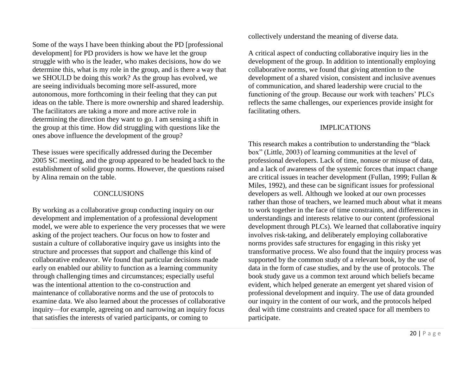Some of the ways I have been thinking about the PD [professional development] for PD providers is how we have let the group struggle with who is the leader, who makes decisions, how do we determine this, what is my role in the group, and is there a way that we SHOULD be doing this work? As the group has evolved, we are seeing individuals becoming more self-assured, more autonomous, more forthcoming in their feeling that they can put ideas on the table. There is more ownership and shared leadership. The facilitators are taking a more and more active role in determining the direction they want to go. I am sensing a shift in the group at this time. How did struggling with questions like the ones above influence the development of the group?

These issues were specifically addressed during the December 2005 SC meeting, and the group appeared to be headed back to the establishment of solid group norms. However, the questions raised by Alina remain on the table.

# **CONCLUSIONS**

By working as a collaborative group conducting inquiry on our development and implementation of a professional development model, we were able to experience the very processes that we were asking of the project teachers. Our focus on how to foster and sustain a culture of collaborative inquiry gave us insights into the structure and processes that support and challenge this kind of collaborative endeavor. We found that particular decisions made early on enabled our ability to function as a learning community through challenging times and circumstances; especially useful was the intentional attention to the co-construction and maintenance of collaborative norms and the use of protocols to examine data. We also learned about the processes of collaborative inquiry—for example, agreeing on and narrowing an inquiry focus that satisfies the interests of varied participants, or coming to

collectively understand the meaning of diverse data.

A critical aspect of conducting collaborative inquiry lies in the development of the group. In addition to intentionally employing collaborative norms, we found that giving attention to the development of a shared vision, consistent and inclusive avenues of communication, and shared leadership were crucial to the functioning of the group. Because our work with teachers' PLCs reflects the same challenges, our experiences provide insight for facilitating others.

#### IMPLICATIONS

This research makes a contribution to understanding the "black" box" (Little, 2003) of learning communities at the level of professional developers. Lack of time, nonuse or misuse of data, and a lack of awareness of the systemic forces that impact change are critical issues in teacher development (Fullan, 1999; Fullan & Miles, 1992), and these can be significant issues for professional developers as well. Although we looked at our own processes rather than those of teachers, we learned much about what it means to work together in the face of time constraints, and differences in understandings and interests relative to our content (professional development through PLCs). We learned that collaborative inquiry involves risk-taking, and deliberately employing collaborative norms provides safe structures for engaging in this risky yet transformative process. We also found that the inquiry process was supported by the common study of a relevant book, by the use of data in the form of case studies, and by the use of protocols. The book study gave us a common text around which beliefs became evident, which helped generate an emergent yet shared vision of professional development and inquiry. The use of data grounded our inquiry in the content of our work, and the protocols helped deal with time constraints and created space for all members to participate.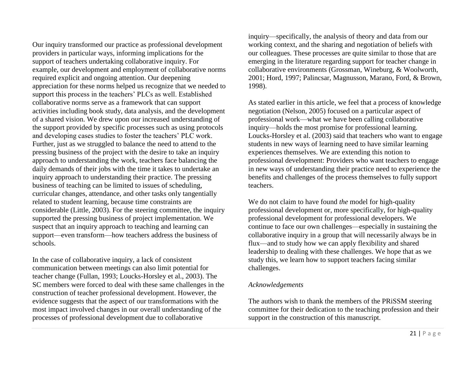Our inquiry transformed our practice as professional development providers in particular ways, informing implications for the support of teachers undertaking collaborative inquiry. For example, our development and employment of collaborative norms required explicit and ongoing attention. Our deepening appreciation for these norms helped us recognize that we needed to support this process in the teachers' PLCs as well. Established collaborative norms serve as a framework that can support activities including book study, data analysis, and the development of a shared vision. We drew upon our increased understanding of the support provided by specific processes such as using protocols and developing cases studies to foster the teachers' PLC work. Further, just as we struggled to balance the need to attend to the pressing business of the project with the desire to take an inquiry approach to understanding the work, teachers face balancing the daily demands of their jobs with the time it takes to undertake an inquiry approach to understanding their practice. The pressing business of teaching can be limited to issues of scheduling, curricular changes, attendance, and other tasks only tangentially related to student learning, because time constraints are considerable (Little, 2003). For the steering committee, the inquiry supported the pressing business of project implementation. We suspect that an inquiry approach to teaching and learning can support—even transform—how teachers address the business of schools.

In the case of collaborative inquiry, a lack of consistent communication between meetings can also limit potential for teacher change (Fullan, 1993; Loucks-Horsley et al., 2003). The SC members were forced to deal with these same challenges in the construction of teacher professional development. However, the evidence suggests that the aspect of our transformations with the most impact involved changes in our overall understanding of the processes of professional development due to collaborative

inquiry—specifically, the analysis of theory and data from our working context, and the sharing and negotiation of beliefs with our colleagues. These processes are quite similar to those that are emerging in the literature regarding support for teacher change in collaborative environments (Grossman, Wineburg, & Woolworth, 2001; Hord, 1997; Palincsar, Magnusson, Marano, Ford, & Brown, 1998).

As stated earlier in this article, we feel that a process of knowledge negotiation (Nelson, 2005) focused on a particular aspect of professional work—what we have been calling collaborative inquiry—holds the most promise for professional learning. Loucks-Horsley et al. (2003) said that teachers who want to engage students in new ways of learning need to have similar learning experiences themselves. We are extending this notion to professional development: Providers who want teachers to engage in new ways of understanding their practice need to experience the benefits and challenges of the process themselves to fully support teachers.

We do not claim to have found *the* model for high-quality professional development or, more specifically, for high-quality professional development for professional developers. We continue to face our own challenges—especially in sustaining the collaborative inquiry in a group that will necessarily always be in flux—and to study how we can apply flexibility and shared leadership to dealing with these challenges. We hope that as we study this, we learn how to support teachers facing similar challenges.

#### *Acknowledgements*

The authors wish to thank the members of the PRiSSM steering committee for their dedication to the teaching profession and their support in the construction of this manuscript.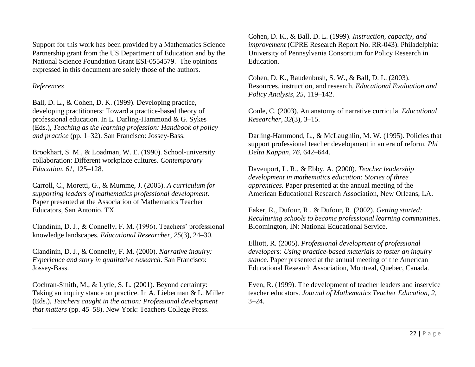Support for this work has been provided by a Mathematics Science Partnership grant from the US Department of Education and by the National Science Foundation Grant ESI-0554579. The opinions expressed in this document are solely those of the authors.

### *References*

Ball, D. L., & Cohen, D. K. (1999). Developing practice, developing practitioners: Toward a practice-based theory of professional education. In L. Darling-Hammond & G. Sykes (Eds.), *Teaching as the learning profession: Handbook of policy and practice* (pp. 1–32). San Francisco: Jossey-Bass.

Brookhart, S. M., & Loadman, W. E. (1990). School-university collaboration: Different workplace cultures. *Contemporary Education, 61*, 125–128.

Carroll, C., Moretti, G., & Mumme, J. (2005). *A curriculum for supporting leaders of mathematics professional development.* Paper presented at the Association of Mathematics Teacher Educators, San Antonio, TX.

Clandinin, D. J., & Connelly, F. M. (1996). Teachers' professional knowledge landscapes. *Educational Researcher, 25*(3), 24–30.

Clandinin, D. J., & Connelly, F. M. (2000). *Narrative inquiry: Experience and story in qualitative research*. San Francisco: Jossey-Bass.

Cochran-Smith, M., & Lytle, S. L. (2001). Beyond certainty: Taking an inquiry stance on practice. In A. Lieberman & L. Miller (Eds.), *Teachers caught in the action: Professional development that matters* (pp. 45–58). New York: Teachers College Press.

Cohen, D. K., & Ball, D. L. (1999). *Instruction, capacity, and improvement* (CPRE Research Report No. RR-043). Philadelphia: University of Pennsylvania Consortium for Policy Research in Education.

Cohen, D. K., Raudenbush, S. W., & Ball, D. L. (2003). Resources, instruction, and research. *Educational Evaluation and Policy Analysis, 25,* 119–142.

Conle, C. (2003). An anatomy of narrative curricula. *Educational Researcher, 32*(3), 3–15.

Darling-Hammond, L., & McLaughlin, M. W. (1995). Policies that support professional teacher development in an era of reform. *Phi Delta Kappan, 76*, 642–644.

Davenport, L. R., & Ebby, A. (2000). *Teacher leadership development in mathematics education: Stories of three apprentices.* Paper presented at the annual meeting of the American Educational Research Association, New Orleans, LA.

Eaker, R., Dufour, R., & Dufour, R. (2002). *Getting started: Reculturing schools to become professional learning communities*. Bloomington, IN: National Educational Service.

Elliott, R. (2005). *Professional development of professional developers: Using practice-based materials to foster an inquiry stance.* Paper presented at the annual meeting of the American Educational Research Association, Montreal, Quebec, Canada.

Even, R. (1999). The development of teacher leaders and inservice teacher educators. *Journal of Mathematics Teacher Education, 2*,  $3 - 24$ .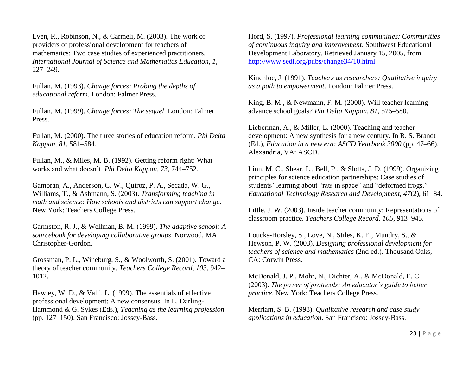Even, R., Robinson, N., & Carmeli, M. (2003). The work of providers of professional development for teachers of mathematics: Two case studies of experienced practitioners. *International Journal of Science and Mathematics Education, 1*, 227–249.

Fullan, M. (1993). *Change forces: Probing the depths of educational reform*. London: Falmer Press.

Fullan, M. (1999). *Change forces: The sequel*. London: Falmer Press.

Fullan, M. (2000). The three stories of education reform. *Phi Delta Kappan, 81*, 581–584.

Fullan, M., & Miles, M. B. (1992). Getting reform right: What works and what doesn't. *Phi Delta Kappan, 73*, 744–752.

Gamoran, A., Anderson, C. W., Quiroz, P. A., Secada, W. G., Williams, T., & Ashmann, S. (2003). *Transforming teaching in math and science: How schools and districts can support change*. New York: Teachers College Press.

Garmston, R. J., & Wellman, B. M. (1999). *The adaptive school: A sourcebook for developing collaborative groups*. Norwood, MA: Christopher-Gordon.

Grossman, P. L., Wineburg, S., & Woolworth, S. (2001). Toward a theory of teacher community. *Teachers College Record, 103*, 942– 1012.

Hawley, W. D., & Valli, L. (1999). The essentials of effective professional development: A new consensus. In L. Darling-Hammond & G. Sykes (Eds.), *Teaching as the learning profession* (pp. 127–150). San Francisco: Jossey-Bass.

Hord, S. (1997). *Professional learning communities: Communities of continuous inquiry and improvement*. Southwest Educational Development Laboratory. Retrieved January 15, 2005, from <http://www.sedl.org/pubs/change34/10.html>

Kinchloe, J. (1991). *Teachers as researchers: Qualitative inquiry as a path to empowerment*. London: Falmer Press.

King, B. M., & Newmann, F. M. (2000). Will teacher learning advance school goals? *Phi Delta Kappan, 81*, 576–580.

Lieberman, A., & Miller, L. (2000). Teaching and teacher development: A new synthesis for a new century. In R. S. Brandt (Ed.), *Education in a new era: ASCD Yearbook 2000* (pp. 47–66). Alexandria, VA: ASCD.

Linn, M. C., Shear, L., Bell, P., & Slotta, J. D. (1999). Organizing principles for science education partnerships: Case studies of students' learning about "rats in space" and "deformed frogs." *Educational Technology Research and Development, 47*(2), 61–84.

Little, J. W. (2003). Inside teacher community: Representations of classroom practice. *Teachers College Record, 105*, 913–945.

Loucks-Horsley, S., Love, N., Stiles, K. E., Mundry, S., & Hewson, P. W. (2003). *Designing professional development for teachers of science and mathematics* (2nd ed.). Thousand Oaks, CA: Corwin Press.

McDonald, J. P., Mohr, N., Dichter, A., & McDonald, E. C. (2003). *The power of protocols: An educator's guide to better practice*. New York: Teachers College Press.

Merriam, S. B. (1998). *Qualitative research and case study applications in education*. San Francisco: Jossey-Bass.